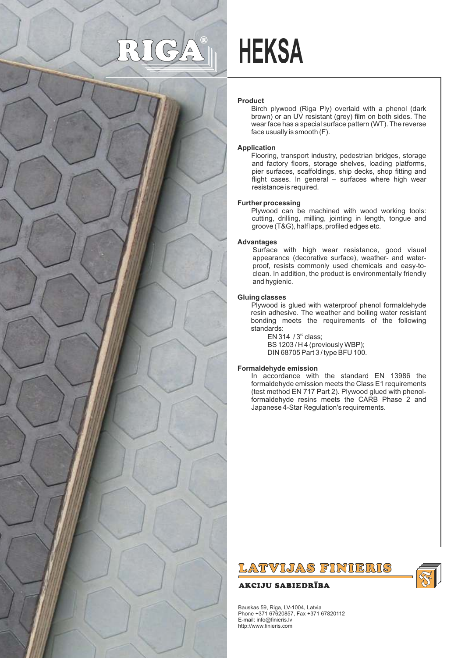# $\frac{0}{0}$



## **HEKSA**

#### **Product**

Birch plywood (Riga Ply) overlaid with a phenol (dark brown) or an UV resistant (grey) film on both sides. The wear face has a special surface pattern (WT). The reverse face usually is smooth (F).

#### **Application**

Flooring, transport industry, pedestrian bridges, storage and factory floors, storage shelves, loading platforms, pier surfaces, scaffoldings, ship decks, shop fitting and flight cases. In general – surfaces where high wear resistance is required.

#### **Further processing**

Plywood can be machined with wood working tools: cutting, drilling, milling, jointing in length, tongue and groove (T&G), half laps, profiled edges etc.

#### **Advantages**

Surface with high wear resistance, good visual appearance (decorative surface), weather- and waterproof, resists commonly used chemicals and easy-toclean. In addition, the product is environmentally friendly and hygienic.

#### **Gluing classes**

Plywood is glued with waterproof phenol formaldehyde resin adhesive. The weather and boiling water resistant bonding meets the requirements of the following standards:

 $EN 314 / 3<sup>rd</sup> class:$ BS 1203 / H 4 (previously WBP); DIN 68705 Part 3 / type BFU 100.

#### **Formaldehyde emission**

In accordance with the standard EN 13986 the formaldehyde emission meets the Class E1 requirements (test method EN 717 Part 2). Plywood glued with phenolformaldehyde resins meets the CARB Phase 2 and Japanese 4-Star Regulation's requirements.

### LATVIJAS FINIERIS

#### **AKCIJU SABIEDRĪBA**



Bauskas 59, Riga, LV-1004, Latvia Phone +371 67620857, Fax +371 67820112 E-mail: info@finieris.lv http://www.finieris.com